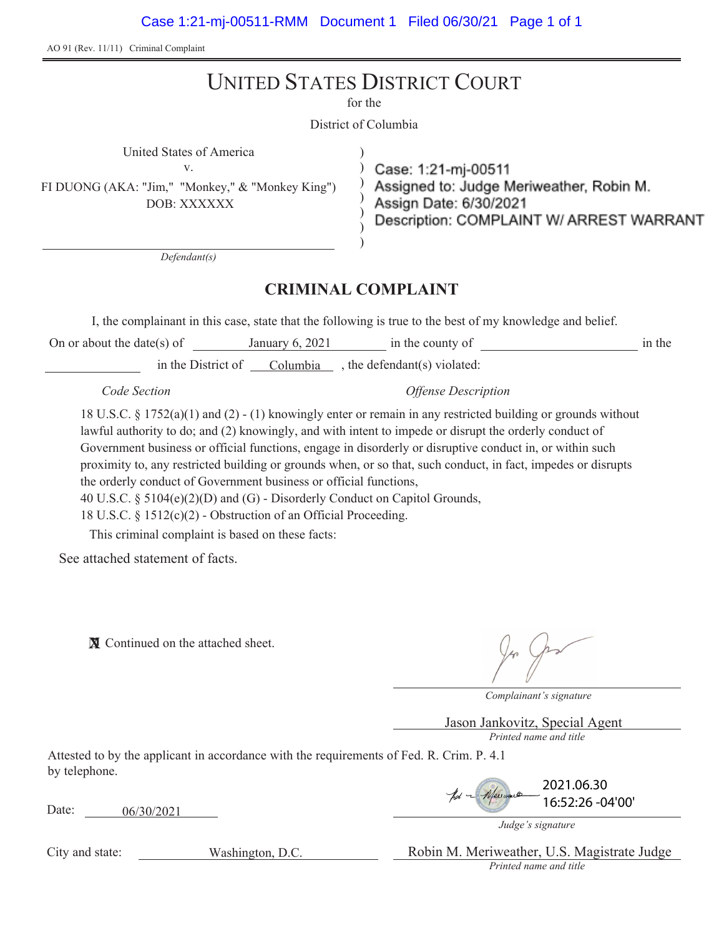Case 1:21-mj-00511-RMM Document 1 Filed 06/30/21 Page 1 of 1

AO 91 (Rev. 11/11) Criminal Complaint

# UNITED STATES DISTRICT COURT

for the

District of Columbia

) ) ) ) ) )

United States of America ) v.

FI DUONG (AKA: "Jim," "Monkey," & "Monkey King") DOB: XXXXXX

Case: 1:21-mj-00511 Assigned to: Judge Meriweather, Robin M. Assign Date: 6/30/2021 Description: COMPLAINT W/ ARREST WARRANT

*Defendant(s)*

# **CRIMINAL COMPLAINT**

I, the complainant in this case, state that the following is true to the best of my knowledge and belief.

On or about the date(s) of January 6, 2021 in the county of in the in the District of Columbia , the defendant(s) violated:

*Code Section Offense Description*

18 U.S.C. § 1752(a)(1) and (2) - (1) knowingly enter or remain in any restricted building or grounds without lawful authority to do; and (2) knowingly, and with intent to impede or disrupt the orderly conduct of Government business or official functions, engage in disorderly or disruptive conduct in, or within such proximity to, any restricted building or grounds when, or so that, such conduct, in fact, impedes or disrupts the orderly conduct of Government business or official functions,

40 U.S.C. § 5104(e)(2)(D) and (G) - Disorderly Conduct on Capitol Grounds,

18 U.S.C. § 1512(c)(2) - Obstruction of an Official Proceeding.

This criminal complaint is based on these facts:

See attached statement of facts.

**X** Continued on the attached sheet.

*Complainant's signature*

*Printed name and title* Jason Jankovitz, Special Agent

Attested to by the applicant in accordance with the requirements of Fed. R. Crim. P. 4.1 by telephone.

Date: 06/30/2021

2021.06.30 16:52:26 -04'00'

*Judge's signature*

City and state:

Washington, D.C.

*Printed name and title* Robin M. Meriweather, U.S. Magistrate Judge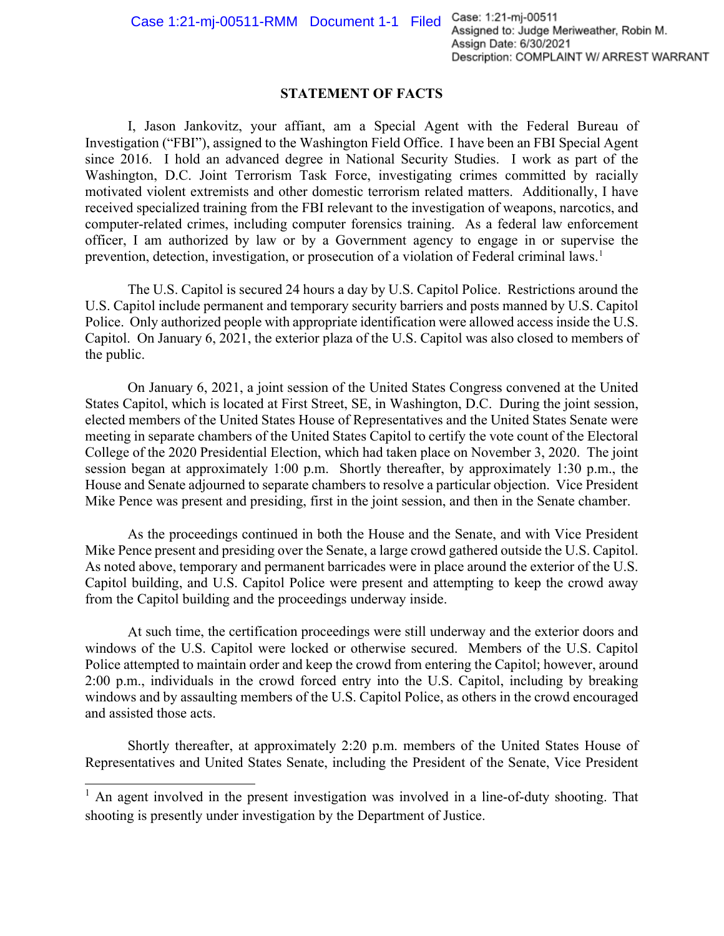# **STATEMENT OF FACTS**

I, Jason Jankovitz, your affiant, am a Special Agent with the Federal Bureau of Investigation ("FBI"), assigned to the Washington Field Office. I have been an FBI Special Agent since 2016. I hold an advanced degree in National Security Studies. I work as part of the Washington, D.C. Joint Terrorism Task Force, investigating crimes committed by racially motivated violent extremists and other domestic terrorism related matters. Additionally, I have received specialized training from the FBI relevant to the investigation of weapons, narcotics, and computer-related crimes, including computer forensics training. As a federal law enforcement officer, I am authorized by law or by a Government agency to engage in or supervise the prevention, detection, investigation, or prosecution of a violation of Federal criminal laws.<sup>1</sup>

The U.S. Capitol is secured 24 hours a day by U.S. Capitol Police. Restrictions around the U.S. Capitol include permanent and temporary security barriers and posts manned by U.S. Capitol Police. Only authorized people with appropriate identification were allowed access inside the U.S. Capitol. On January 6, 2021, the exterior plaza of the U.S. Capitol was also closed to members of the public.

On January 6, 2021, a joint session of the United States Congress convened at the United States Capitol, which is located at First Street, SE, in Washington, D.C. During the joint session, elected members of the United States House of Representatives and the United States Senate were meeting in separate chambers of the United States Capitol to certify the vote count of the Electoral College of the 2020 Presidential Election, which had taken place on November 3, 2020. The joint session began at approximately 1:00 p.m. Shortly thereafter, by approximately 1:30 p.m., the House and Senate adjourned to separate chambers to resolve a particular objection. Vice President Mike Pence was present and presiding, first in the joint session, and then in the Senate chamber.

As the proceedings continued in both the House and the Senate, and with Vice President Mike Pence present and presiding over the Senate, a large crowd gathered outside the U.S. Capitol. As noted above, temporary and permanent barricades were in place around the exterior of the U.S. Capitol building, and U.S. Capitol Police were present and attempting to keep the crowd away from the Capitol building and the proceedings underway inside.

At such time, the certification proceedings were still underway and the exterior doors and windows of the U.S. Capitol were locked or otherwise secured. Members of the U.S. Capitol Police attempted to maintain order and keep the crowd from entering the Capitol; however, around 2:00 p.m., individuals in the crowd forced entry into the U.S. Capitol, including by breaking windows and by assaulting members of the U.S. Capitol Police, as others in the crowd encouraged and assisted those acts.

Shortly thereafter, at approximately 2:20 p.m. members of the United States House of Representatives and United States Senate, including the President of the Senate, Vice President

<sup>&</sup>lt;sup>1</sup> An agent involved in the present investigation was involved in a line-of-duty shooting. That shooting is presently under investigation by the Department of Justice.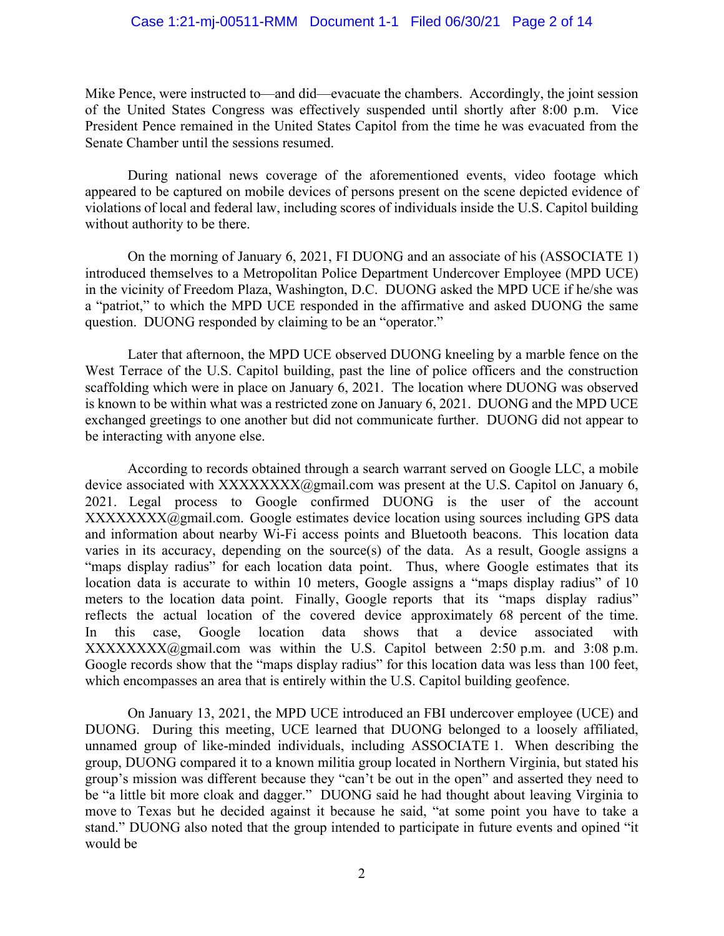## Case 1:21-mj-00511-RMM Document 1-1 Filed 06/30/21 Page 2 of 14

Mike Pence, were instructed to—and did—evacuate the chambers. Accordingly, the joint session of the United States Congress was effectively suspended until shortly after 8:00 p.m. Vice President Pence remained in the United States Capitol from the time he was evacuated from the Senate Chamber until the sessions resumed.

During national news coverage of the aforementioned events, video footage which appeared to be captured on mobile devices of persons present on the scene depicted evidence of violations of local and federal law, including scores of individuals inside the U.S. Capitol building without authority to be there.

On the morning of January 6, 2021, FI DUONG and an associate of his (ASSOCIATE 1) introduced themselves to a Metropolitan Police Department Undercover Employee (MPD UCE) in the vicinity of Freedom Plaza, Washington, D.C. DUONG asked the MPD UCE if he/she was a "patriot," to which the MPD UCE responded in the affirmative and asked DUONG the same question. DUONG responded by claiming to be an "operator."

Later that afternoon, the MPD UCE observed DUONG kneeling by a marble fence on the West Terrace of the U.S. Capitol building, past the line of police officers and the construction scaffolding which were in place on January 6, 2021. The location where DUONG was observed is known to be within what was a restricted zone on January 6, 2021. DUONG and the MPD UCE exchanged greetings to one another but did not communicate further. DUONG did not appear to be interacting with anyone else.

According to records obtained through a search warrant served on Google LLC, a mobile device associated with  $XXXXXX(\omega)$ gmail.com was present at the U.S. Capitol on January 6, 2021. Legal process to Google confirmed DUONG is the user of the account XXXXXXXX@gmail.com. Google estimates device location using sources including GPS data and information about nearby Wi-Fi access points and Bluetooth beacons. This location data varies in its accuracy, depending on the source(s) of the data. As a result, Google assigns a "maps display radius" for each location data point. Thus, where Google estimates that its location data is accurate to within 10 meters, Google assigns a "maps display radius" of 10 meters to the location data point. Finally, Google reports that its "maps display radius" reflects the actual location of the covered device approximately 68 percent of the time. In this case, Google location data shows that a device associated with  $XXXXXXX(X)$  was within the U.S. Capitol between 2:50 p.m. and 3:08 p.m. Google records show that the "maps display radius" for this location data was less than 100 feet, which encompasses an area that is entirely within the U.S. Capitol building geofence.

On January 13, 2021, the MPD UCE introduced an FBI undercover employee (UCE) and DUONG. During this meeting, UCE learned that DUONG belonged to a loosely affiliated, unnamed group of like-minded individuals, including ASSOCIATE 1. When describing the group, DUONG compared it to a known militia group located in Northern Virginia, but stated his group's mission was different because they "can't be out in the open" and asserted they need to be "a little bit more cloak and dagger." DUONG said he had thought about leaving Virginia to move to Texas but he decided against it because he said, "at some point you have to take a stand." DUONG also noted that the group intended to participate in future events and opined "it would be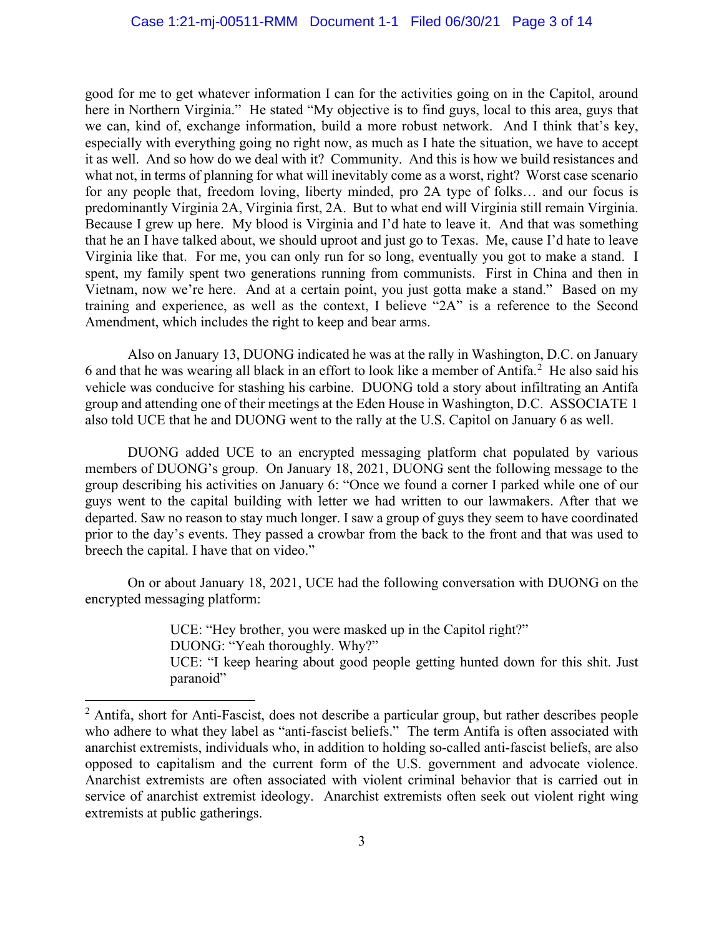good for me to get whatever information I can for the activities going on in the Capitol, around here in Northern Virginia." He stated "My objective is to find guys, local to this area, guys that we can, kind of, exchange information, build a more robust network. And I think that's key, especially with everything going no right now, as much as I hate the situation, we have to accept it as well. And so how do we deal with it? Community. And this is how we build resistances and what not, in terms of planning for what will inevitably come as a worst, right? Worst case scenario for any people that, freedom loving, liberty minded, pro 2A type of folks… and our focus is predominantly Virginia 2A, Virginia first, 2A. But to what end will Virginia still remain Virginia. Because I grew up here. My blood is Virginia and I'd hate to leave it. And that was something that he an I have talked about, we should uproot and just go to Texas. Me, cause I'd hate to leave Virginia like that. For me, you can only run for so long, eventually you got to make a stand. I spent, my family spent two generations running from communists. First in China and then in Vietnam, now we're here. And at a certain point, you just gotta make a stand." Based on my training and experience, as well as the context, I believe "2A" is a reference to the Second Amendment, which includes the right to keep and bear arms.

Also on January 13, DUONG indicated he was at the rally in Washington, D.C. on January 6 and that he was wearing all black in an effort to look like a member of Antifa.<sup>2</sup> He also said his vehicle was conducive for stashing his carbine. DUONG told a story about infiltrating an Antifa group and attending one of their meetings at the Eden House in Washington, D.C. ASSOCIATE 1 also told UCE that he and DUONG went to the rally at the U.S. Capitol on January 6 as well.

DUONG added UCE to an encrypted messaging platform chat populated by various members of DUONG's group. On January 18, 2021, DUONG sent the following message to the group describing his activities on January 6: "Once we found a corner I parked while one of our guys went to the capital building with letter we had written to our lawmakers. After that we departed. Saw no reason to stay much longer. I saw a group of guys they seem to have coordinated prior to the day's events. They passed a crowbar from the back to the front and that was used to breech the capital. I have that on video."

On or about January 18, 2021, UCE had the following conversation with DUONG on the encrypted messaging platform:

> UCE: "Hey brother, you were masked up in the Capitol right?" DUONG: "Yeah thoroughly. Why?" UCE: "I keep hearing about good people getting hunted down for this shit. Just paranoid"

 $<sup>2</sup>$  Antifa, short for Anti-Fascist, does not describe a particular group, but rather describes people</sup> who adhere to what they label as "anti-fascist beliefs." The term Antifa is often associated with anarchist extremists, individuals who, in addition to holding so-called anti-fascist beliefs, are also opposed to capitalism and the current form of the U.S. government and advocate violence. Anarchist extremists are often associated with violent criminal behavior that is carried out in service of anarchist extremist ideology. Anarchist extremists often seek out violent right wing extremists at public gatherings.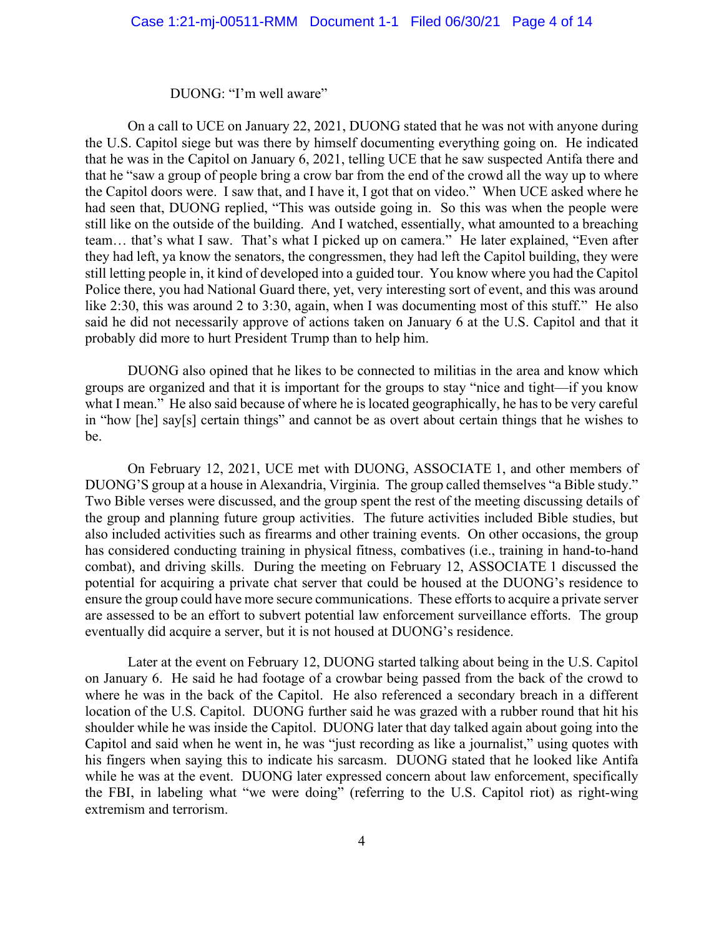#### DUONG: "I'm well aware"

On a call to UCE on January 22, 2021, DUONG stated that he was not with anyone during the U.S. Capitol siege but was there by himself documenting everything going on. He indicated that he was in the Capitol on January 6, 2021, telling UCE that he saw suspected Antifa there and that he "saw a group of people bring a crow bar from the end of the crowd all the way up to where the Capitol doors were. I saw that, and I have it, I got that on video." When UCE asked where he had seen that, DUONG replied, "This was outside going in. So this was when the people were still like on the outside of the building. And I watched, essentially, what amounted to a breaching team… that's what I saw. That's what I picked up on camera." He later explained, "Even after they had left, ya know the senators, the congressmen, they had left the Capitol building, they were still letting people in, it kind of developed into a guided tour. You know where you had the Capitol Police there, you had National Guard there, yet, very interesting sort of event, and this was around like 2:30, this was around 2 to 3:30, again, when I was documenting most of this stuff." He also said he did not necessarily approve of actions taken on January 6 at the U.S. Capitol and that it probably did more to hurt President Trump than to help him.

DUONG also opined that he likes to be connected to militias in the area and know which groups are organized and that it is important for the groups to stay "nice and tight—if you know what I mean." He also said because of where he is located geographically, he has to be very careful in "how [he] say[s] certain things" and cannot be as overt about certain things that he wishes to be.

On February 12, 2021, UCE met with DUONG, ASSOCIATE 1, and other members of DUONG'S group at a house in Alexandria, Virginia. The group called themselves "a Bible study." Two Bible verses were discussed, and the group spent the rest of the meeting discussing details of the group and planning future group activities. The future activities included Bible studies, but also included activities such as firearms and other training events. On other occasions, the group has considered conducting training in physical fitness, combatives (i.e., training in hand-to-hand combat), and driving skills. During the meeting on February 12, ASSOCIATE 1 discussed the potential for acquiring a private chat server that could be housed at the DUONG's residence to ensure the group could have more secure communications. These efforts to acquire a private server are assessed to be an effort to subvert potential law enforcement surveillance efforts. The group eventually did acquire a server, but it is not housed at DUONG's residence.

Later at the event on February 12, DUONG started talking about being in the U.S. Capitol on January 6. He said he had footage of a crowbar being passed from the back of the crowd to where he was in the back of the Capitol. He also referenced a secondary breach in a different location of the U.S. Capitol. DUONG further said he was grazed with a rubber round that hit his shoulder while he was inside the Capitol. DUONG later that day talked again about going into the Capitol and said when he went in, he was "just recording as like a journalist," using quotes with his fingers when saying this to indicate his sarcasm. DUONG stated that he looked like Antifa while he was at the event. DUONG later expressed concern about law enforcement, specifically the FBI, in labeling what "we were doing" (referring to the U.S. Capitol riot) as right-wing extremism and terrorism.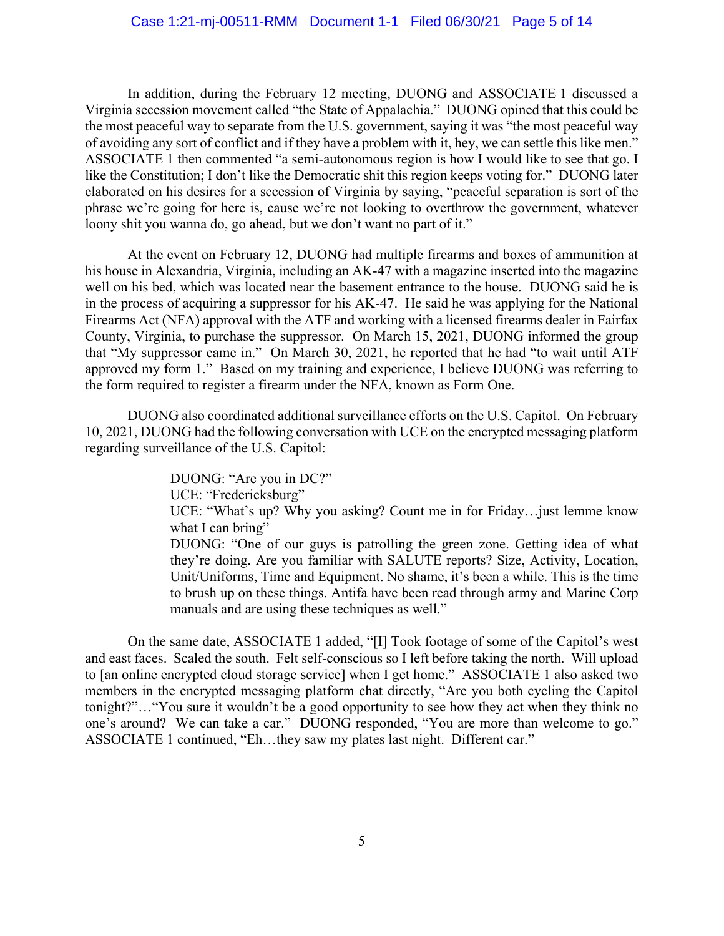## Case 1:21-mj-00511-RMM Document 1-1 Filed 06/30/21 Page 5 of 14

In addition, during the February 12 meeting, DUONG and ASSOCIATE 1 discussed a Virginia secession movement called "the State of Appalachia." DUONG opined that this could be the most peaceful way to separate from the U.S. government, saying it was "the most peaceful way of avoiding any sort of conflict and if they have a problem with it, hey, we can settle this like men." ASSOCIATE 1 then commented "a semi-autonomous region is how I would like to see that go. I like the Constitution; I don't like the Democratic shit this region keeps voting for." DUONG later elaborated on his desires for a secession of Virginia by saying, "peaceful separation is sort of the phrase we're going for here is, cause we're not looking to overthrow the government, whatever loony shit you wanna do, go ahead, but we don't want no part of it."

At the event on February 12, DUONG had multiple firearms and boxes of ammunition at his house in Alexandria, Virginia, including an AK-47 with a magazine inserted into the magazine well on his bed, which was located near the basement entrance to the house. DUONG said he is in the process of acquiring a suppressor for his AK-47. He said he was applying for the National Firearms Act (NFA) approval with the ATF and working with a licensed firearms dealer in Fairfax County, Virginia, to purchase the suppressor. On March 15, 2021, DUONG informed the group that "My suppressor came in." On March 30, 2021, he reported that he had "to wait until ATF approved my form 1." Based on my training and experience, I believe DUONG was referring to the form required to register a firearm under the NFA, known as Form One.

DUONG also coordinated additional surveillance efforts on the U.S. Capitol. On February 10, 2021, DUONG had the following conversation with UCE on the encrypted messaging platform regarding surveillance of the U.S. Capitol:

> DUONG: "Are you in DC?" UCE: "Fredericksburg" UCE: "What's up? Why you asking? Count me in for Friday…just lemme know what I can bring" DUONG: "One of our guys is patrolling the green zone. Getting idea of what they're doing. Are you familiar with SALUTE reports? Size, Activity, Location, Unit/Uniforms, Time and Equipment. No shame, it's been a while. This is the time to brush up on these things. Antifa have been read through army and Marine Corp manuals and are using these techniques as well."

On the same date, ASSOCIATE 1 added, "[I] Took footage of some of the Capitol's west and east faces. Scaled the south. Felt self-conscious so I left before taking the north. Will upload to [an online encrypted cloud storage service] when I get home." ASSOCIATE 1 also asked two members in the encrypted messaging platform chat directly, "Are you both cycling the Capitol tonight?"…"You sure it wouldn't be a good opportunity to see how they act when they think no one's around? We can take a car." DUONG responded, "You are more than welcome to go." ASSOCIATE 1 continued, "Eh…they saw my plates last night. Different car."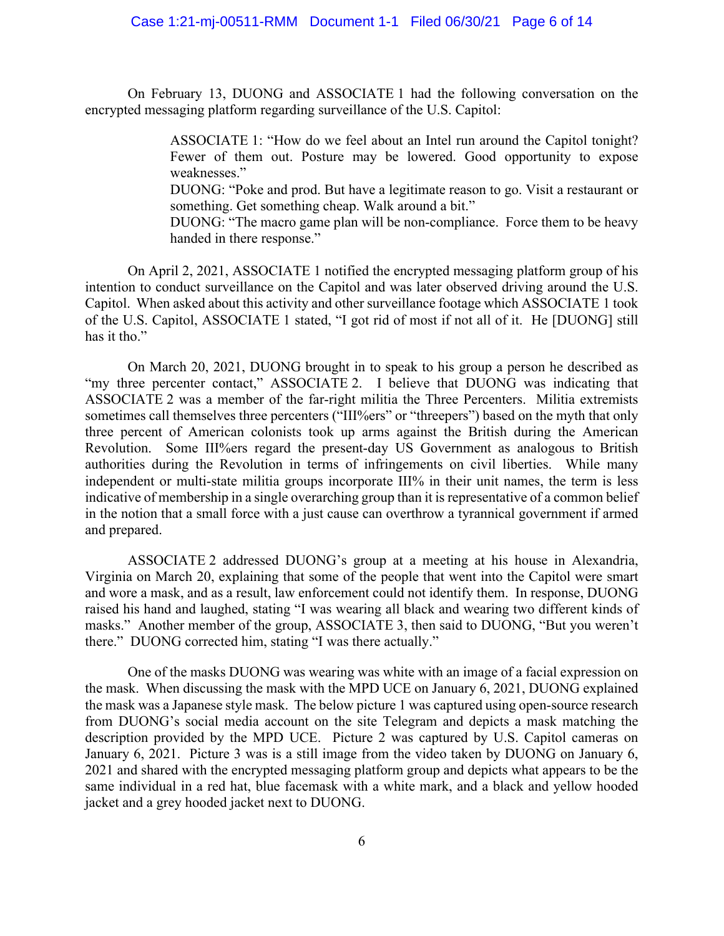On February 13, DUONG and ASSOCIATE 1 had the following conversation on the encrypted messaging platform regarding surveillance of the U.S. Capitol:

> ASSOCIATE 1: "How do we feel about an Intel run around the Capitol tonight? Fewer of them out. Posture may be lowered. Good opportunity to expose weaknesses."

> DUONG: "Poke and prod. But have a legitimate reason to go. Visit a restaurant or something. Get something cheap. Walk around a bit."

> DUONG: "The macro game plan will be non-compliance. Force them to be heavy handed in there response."

On April 2, 2021, ASSOCIATE 1 notified the encrypted messaging platform group of his intention to conduct surveillance on the Capitol and was later observed driving around the U.S. Capitol. When asked about this activity and other surveillance footage which ASSOCIATE 1 took of the U.S. Capitol, ASSOCIATE 1 stated, "I got rid of most if not all of it. He [DUONG] still has it tho."

On March 20, 2021, DUONG brought in to speak to his group a person he described as "my three percenter contact," ASSOCIATE 2. I believe that DUONG was indicating that ASSOCIATE 2 was a member of the far-right militia the Three Percenters. Militia extremists sometimes call themselves three percenters ("III%ers" or "threepers") based on the myth that only three percent of American colonists took up arms against the British during the American Revolution. Some III%ers regard the present-day US Government as analogous to British authorities during the Revolution in terms of infringements on civil liberties. While many independent or multi-state militia groups incorporate III% in their unit names, the term is less indicative of membership in a single overarching group than it is representative of a common belief in the notion that a small force with a just cause can overthrow a tyrannical government if armed and prepared.

ASSOCIATE 2 addressed DUONG's group at a meeting at his house in Alexandria, Virginia on March 20, explaining that some of the people that went into the Capitol were smart and wore a mask, and as a result, law enforcement could not identify them. In response, DUONG raised his hand and laughed, stating "I was wearing all black and wearing two different kinds of masks." Another member of the group, ASSOCIATE 3, then said to DUONG, "But you weren't there." DUONG corrected him, stating "I was there actually."

One of the masks DUONG was wearing was white with an image of a facial expression on the mask. When discussing the mask with the MPD UCE on January 6, 2021, DUONG explained the mask was a Japanese style mask. The below picture 1 was captured using open-source research from DUONG's social media account on the site Telegram and depicts a mask matching the description provided by the MPD UCE. Picture 2 was captured by U.S. Capitol cameras on January 6, 2021. Picture 3 was is a still image from the video taken by DUONG on January 6, 2021 and shared with the encrypted messaging platform group and depicts what appears to be the same individual in a red hat, blue facemask with a white mark, and a black and yellow hooded jacket and a grey hooded jacket next to DUONG.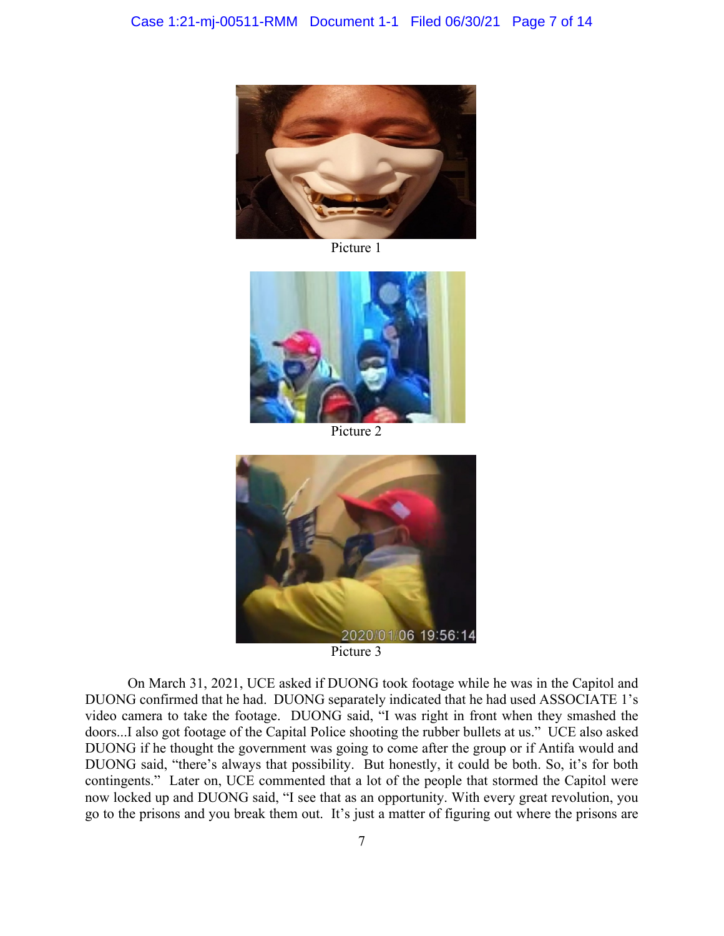

Picture 1



Picture 2



Picture 3

On March 31, 2021, UCE asked if DUONG took footage while he was in the Capitol and DUONG confirmed that he had. DUONG separately indicated that he had used ASSOCIATE 1's video camera to take the footage. DUONG said, "I was right in front when they smashed the doors...I also got footage of the Capital Police shooting the rubber bullets at us." UCE also asked DUONG if he thought the government was going to come after the group or if Antifa would and DUONG said, "there's always that possibility. But honestly, it could be both. So, it's for both contingents." Later on, UCE commented that a lot of the people that stormed the Capitol were now locked up and DUONG said, "I see that as an opportunity. With every great revolution, you go to the prisons and you break them out. It's just a matter of figuring out where the prisons are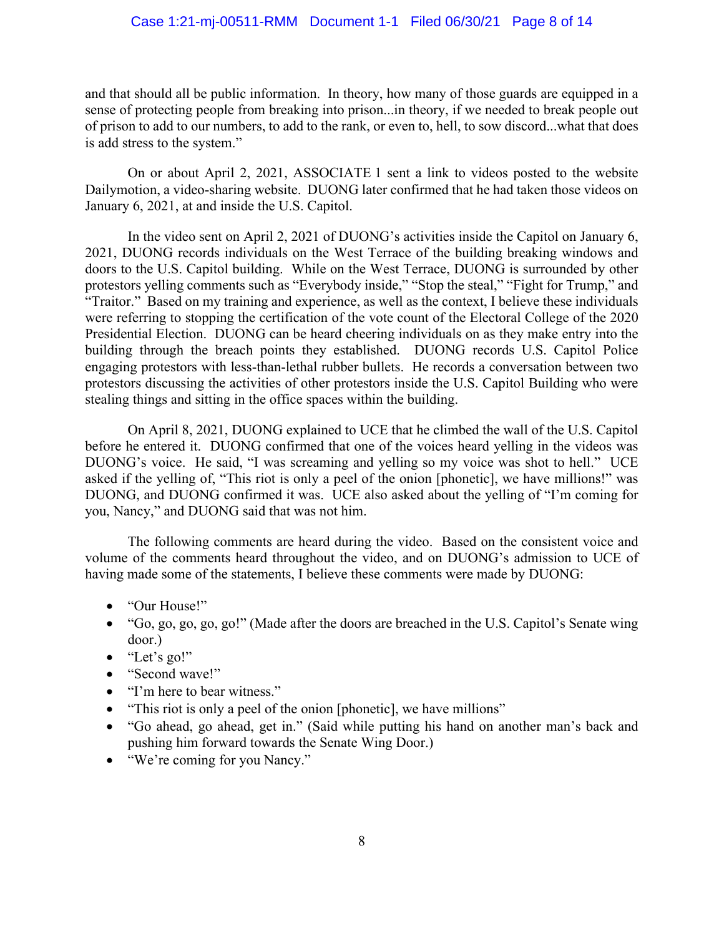and that should all be public information. In theory, how many of those guards are equipped in a sense of protecting people from breaking into prison...in theory, if we needed to break people out of prison to add to our numbers, to add to the rank, or even to, hell, to sow discord...what that does is add stress to the system."

On or about April 2, 2021, ASSOCIATE 1 sent a link to videos posted to the website Dailymotion, a video-sharing website. DUONG later confirmed that he had taken those videos on January 6, 2021, at and inside the U.S. Capitol.

In the video sent on April 2, 2021 of DUONG's activities inside the Capitol on January 6, 2021, DUONG records individuals on the West Terrace of the building breaking windows and doors to the U.S. Capitol building. While on the West Terrace, DUONG is surrounded by other protestors yelling comments such as "Everybody inside," "Stop the steal," "Fight for Trump," and "Traitor." Based on my training and experience, as well as the context, I believe these individuals were referring to stopping the certification of the vote count of the Electoral College of the 2020 Presidential Election. DUONG can be heard cheering individuals on as they make entry into the building through the breach points they established. DUONG records U.S. Capitol Police engaging protestors with less-than-lethal rubber bullets. He records a conversation between two protestors discussing the activities of other protestors inside the U.S. Capitol Building who were stealing things and sitting in the office spaces within the building.

On April 8, 2021, DUONG explained to UCE that he climbed the wall of the U.S. Capitol before he entered it. DUONG confirmed that one of the voices heard yelling in the videos was DUONG's voice. He said, "I was screaming and yelling so my voice was shot to hell." UCE asked if the yelling of, "This riot is only a peel of the onion [phonetic], we have millions!" was DUONG, and DUONG confirmed it was. UCE also asked about the yelling of "I'm coming for you, Nancy," and DUONG said that was not him.

The following comments are heard during the video. Based on the consistent voice and volume of the comments heard throughout the video, and on DUONG's admission to UCE of having made some of the statements, I believe these comments were made by DUONG:

- "Our House!"
- "Go, go, go, go, go!" (Made after the doors are breached in the U.S. Capitol's Senate wing door.)
- "Let's go!"
- "Second wave!"
- "I'm here to bear witness."
- "This riot is only a peel of the onion [phonetic], we have millions"
- "Go ahead, go ahead, get in." (Said while putting his hand on another man's back and pushing him forward towards the Senate Wing Door.)
- "We're coming for you Nancy."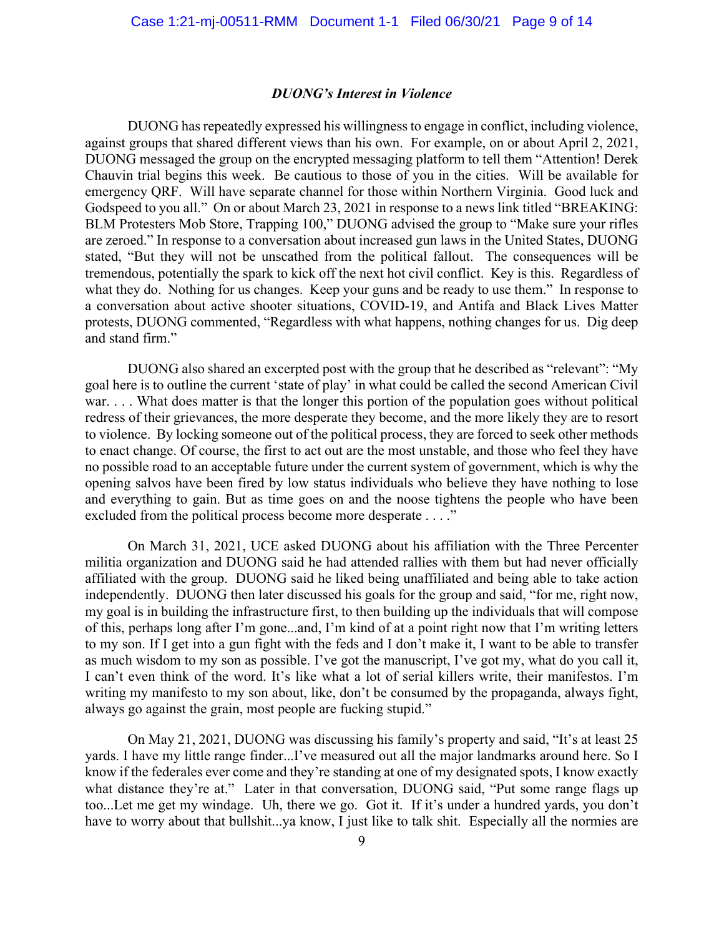#### *DUONG's Interest in Violence*

DUONG has repeatedly expressed his willingness to engage in conflict, including violence, against groups that shared different views than his own. For example, on or about April 2, 2021, DUONG messaged the group on the encrypted messaging platform to tell them "Attention! Derek Chauvin trial begins this week. Be cautious to those of you in the cities. Will be available for emergency QRF. Will have separate channel for those within Northern Virginia. Good luck and Godspeed to you all." On or about March 23, 2021 in response to a news link titled "BREAKING: BLM Protesters Mob Store, Trapping 100," DUONG advised the group to "Make sure your rifles are zeroed." In response to a conversation about increased gun laws in the United States, DUONG stated, "But they will not be unscathed from the political fallout. The consequences will be tremendous, potentially the spark to kick off the next hot civil conflict. Key is this. Regardless of what they do. Nothing for us changes. Keep your guns and be ready to use them." In response to a conversation about active shooter situations, COVID-19, and Antifa and Black Lives Matter protests, DUONG commented, "Regardless with what happens, nothing changes for us. Dig deep and stand firm."

DUONG also shared an excerpted post with the group that he described as "relevant": "My goal here is to outline the current 'state of play' in what could be called the second American Civil war. . . . What does matter is that the longer this portion of the population goes without political redress of their grievances, the more desperate they become, and the more likely they are to resort to violence. By locking someone out of the political process, they are forced to seek other methods to enact change. Of course, the first to act out are the most unstable, and those who feel they have no possible road to an acceptable future under the current system of government, which is why the opening salvos have been fired by low status individuals who believe they have nothing to lose and everything to gain. But as time goes on and the noose tightens the people who have been excluded from the political process become more desperate . . . ."

On March 31, 2021, UCE asked DUONG about his affiliation with the Three Percenter militia organization and DUONG said he had attended rallies with them but had never officially affiliated with the group. DUONG said he liked being unaffiliated and being able to take action independently. DUONG then later discussed his goals for the group and said, "for me, right now, my goal is in building the infrastructure first, to then building up the individuals that will compose of this, perhaps long after I'm gone...and, I'm kind of at a point right now that I'm writing letters to my son. If I get into a gun fight with the feds and I don't make it, I want to be able to transfer as much wisdom to my son as possible. I've got the manuscript, I've got my, what do you call it, I can't even think of the word. It's like what a lot of serial killers write, their manifestos. I'm writing my manifesto to my son about, like, don't be consumed by the propaganda, always fight, always go against the grain, most people are fucking stupid."

On May 21, 2021, DUONG was discussing his family's property and said, "It's at least 25 yards. I have my little range finder...I've measured out all the major landmarks around here. So I know if the federales ever come and they're standing at one of my designated spots, I know exactly what distance they're at." Later in that conversation, DUONG said, "Put some range flags up too...Let me get my windage. Uh, there we go. Got it. If it's under a hundred yards, you don't have to worry about that bullshit...ya know, I just like to talk shit. Especially all the normies are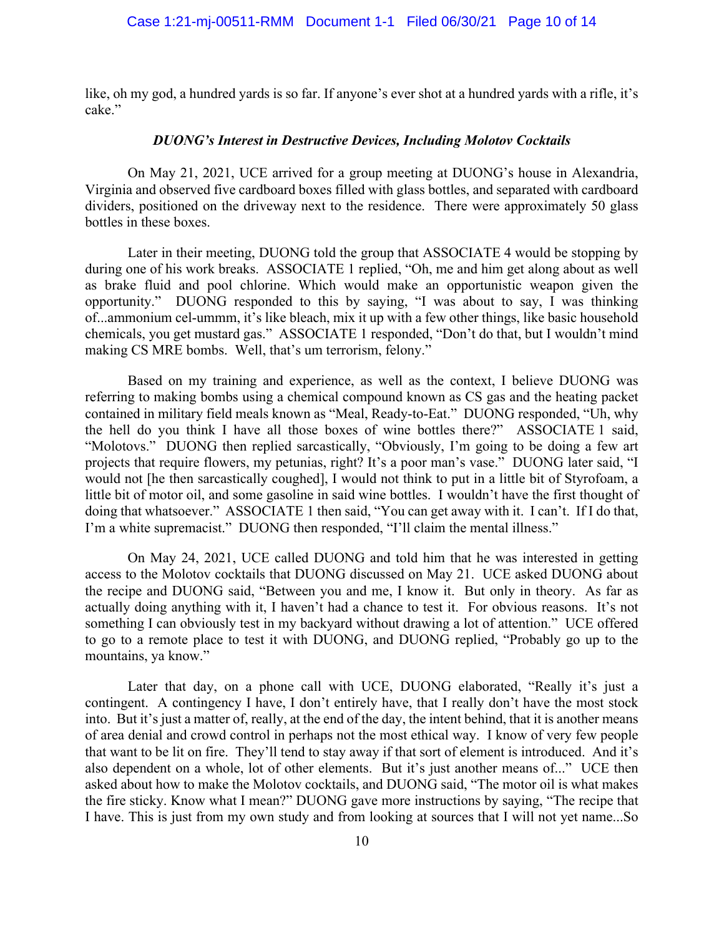like, oh my god, a hundred yards is so far. If anyone's ever shot at a hundred yards with a rifle, it's cake."

#### *DUONG's Interest in Destructive Devices, Including Molotov Cocktails*

On May 21, 2021, UCE arrived for a group meeting at DUONG's house in Alexandria, Virginia and observed five cardboard boxes filled with glass bottles, and separated with cardboard dividers, positioned on the driveway next to the residence. There were approximately 50 glass bottles in these boxes.

Later in their meeting, DUONG told the group that ASSOCIATE 4 would be stopping by during one of his work breaks. ASSOCIATE 1 replied, "Oh, me and him get along about as well as brake fluid and pool chlorine. Which would make an opportunistic weapon given the opportunity." DUONG responded to this by saying, "I was about to say, I was thinking of...ammonium cel-ummm, it's like bleach, mix it up with a few other things, like basic household chemicals, you get mustard gas." ASSOCIATE 1 responded, "Don't do that, but I wouldn't mind making CS MRE bombs. Well, that's um terrorism, felony."

Based on my training and experience, as well as the context, I believe DUONG was referring to making bombs using a chemical compound known as CS gas and the heating packet contained in military field meals known as "Meal, Ready-to-Eat." DUONG responded, "Uh, why the hell do you think I have all those boxes of wine bottles there?" ASSOCIATE 1 said, "Molotovs." DUONG then replied sarcastically, "Obviously, I'm going to be doing a few art projects that require flowers, my petunias, right? It's a poor man's vase." DUONG later said, "I would not [he then sarcastically coughed], I would not think to put in a little bit of Styrofoam, a little bit of motor oil, and some gasoline in said wine bottles. I wouldn't have the first thought of doing that whatsoever." ASSOCIATE 1 then said, "You can get away with it. I can't. If I do that, I'm a white supremacist." DUONG then responded, "I'll claim the mental illness."

On May 24, 2021, UCE called DUONG and told him that he was interested in getting access to the Molotov cocktails that DUONG discussed on May 21. UCE asked DUONG about the recipe and DUONG said, "Between you and me, I know it. But only in theory. As far as actually doing anything with it, I haven't had a chance to test it. For obvious reasons. It's not something I can obviously test in my backyard without drawing a lot of attention." UCE offered to go to a remote place to test it with DUONG, and DUONG replied, "Probably go up to the mountains, ya know."

Later that day, on a phone call with UCE, DUONG elaborated, "Really it's just a contingent. A contingency I have, I don't entirely have, that I really don't have the most stock into. But it's just a matter of, really, at the end of the day, the intent behind, that it is another means of area denial and crowd control in perhaps not the most ethical way. I know of very few people that want to be lit on fire. They'll tend to stay away if that sort of element is introduced. And it's also dependent on a whole, lot of other elements. But it's just another means of..." UCE then asked about how to make the Molotov cocktails, and DUONG said, "The motor oil is what makes the fire sticky. Know what I mean?" DUONG gave more instructions by saying, "The recipe that I have. This is just from my own study and from looking at sources that I will not yet name...So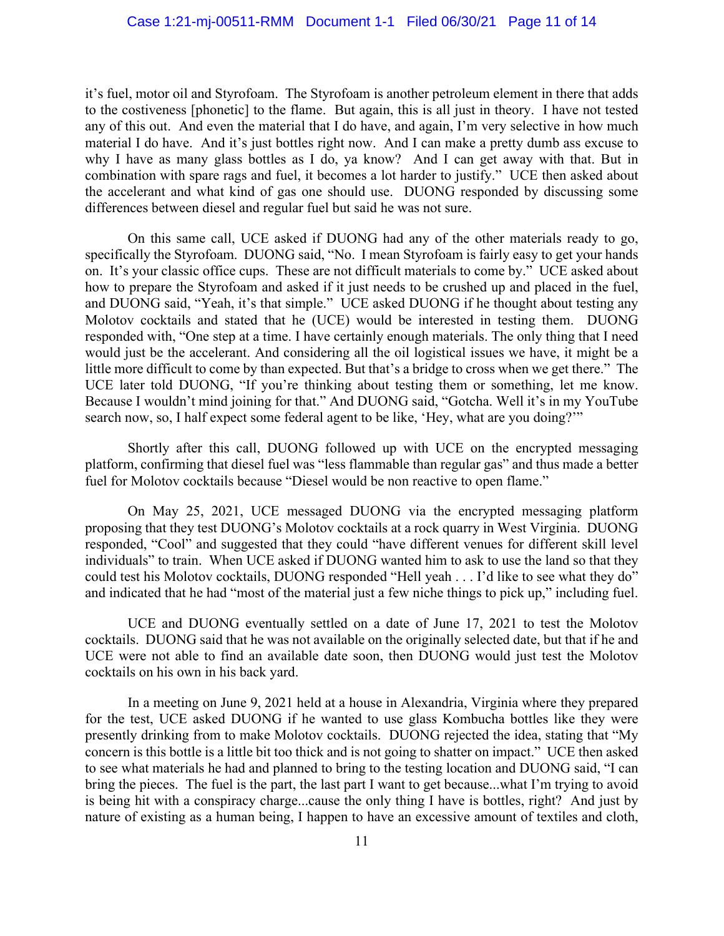it's fuel, motor oil and Styrofoam. The Styrofoam is another petroleum element in there that adds to the costiveness [phonetic] to the flame. But again, this is all just in theory. I have not tested any of this out. And even the material that I do have, and again, I'm very selective in how much material I do have. And it's just bottles right now. And I can make a pretty dumb ass excuse to why I have as many glass bottles as I do, ya know? And I can get away with that. But in combination with spare rags and fuel, it becomes a lot harder to justify." UCE then asked about the accelerant and what kind of gas one should use. DUONG responded by discussing some differences between diesel and regular fuel but said he was not sure.

On this same call, UCE asked if DUONG had any of the other materials ready to go, specifically the Styrofoam. DUONG said, "No. I mean Styrofoam is fairly easy to get your hands on. It's your classic office cups. These are not difficult materials to come by." UCE asked about how to prepare the Styrofoam and asked if it just needs to be crushed up and placed in the fuel, and DUONG said, "Yeah, it's that simple." UCE asked DUONG if he thought about testing any Molotov cocktails and stated that he (UCE) would be interested in testing them. DUONG responded with, "One step at a time. I have certainly enough materials. The only thing that I need would just be the accelerant. And considering all the oil logistical issues we have, it might be a little more difficult to come by than expected. But that's a bridge to cross when we get there." The UCE later told DUONG, "If you're thinking about testing them or something, let me know. Because I wouldn't mind joining for that." And DUONG said, "Gotcha. Well it's in my YouTube search now, so, I half expect some federal agent to be like, 'Hey, what are you doing?'"

Shortly after this call, DUONG followed up with UCE on the encrypted messaging platform, confirming that diesel fuel was "less flammable than regular gas" and thus made a better fuel for Molotov cocktails because "Diesel would be non reactive to open flame."

On May 25, 2021, UCE messaged DUONG via the encrypted messaging platform proposing that they test DUONG's Molotov cocktails at a rock quarry in West Virginia. DUONG responded, "Cool" and suggested that they could "have different venues for different skill level individuals" to train. When UCE asked if DUONG wanted him to ask to use the land so that they could test his Molotov cocktails, DUONG responded "Hell yeah . . . I'd like to see what they do" and indicated that he had "most of the material just a few niche things to pick up," including fuel.

UCE and DUONG eventually settled on a date of June 17, 2021 to test the Molotov cocktails. DUONG said that he was not available on the originally selected date, but that if he and UCE were not able to find an available date soon, then DUONG would just test the Molotov cocktails on his own in his back yard.

In a meeting on June 9, 2021 held at a house in Alexandria, Virginia where they prepared for the test, UCE asked DUONG if he wanted to use glass Kombucha bottles like they were presently drinking from to make Molotov cocktails. DUONG rejected the idea, stating that "My concern is this bottle is a little bit too thick and is not going to shatter on impact." UCE then asked to see what materials he had and planned to bring to the testing location and DUONG said, "I can bring the pieces. The fuel is the part, the last part I want to get because...what I'm trying to avoid is being hit with a conspiracy charge...cause the only thing I have is bottles, right? And just by nature of existing as a human being, I happen to have an excessive amount of textiles and cloth,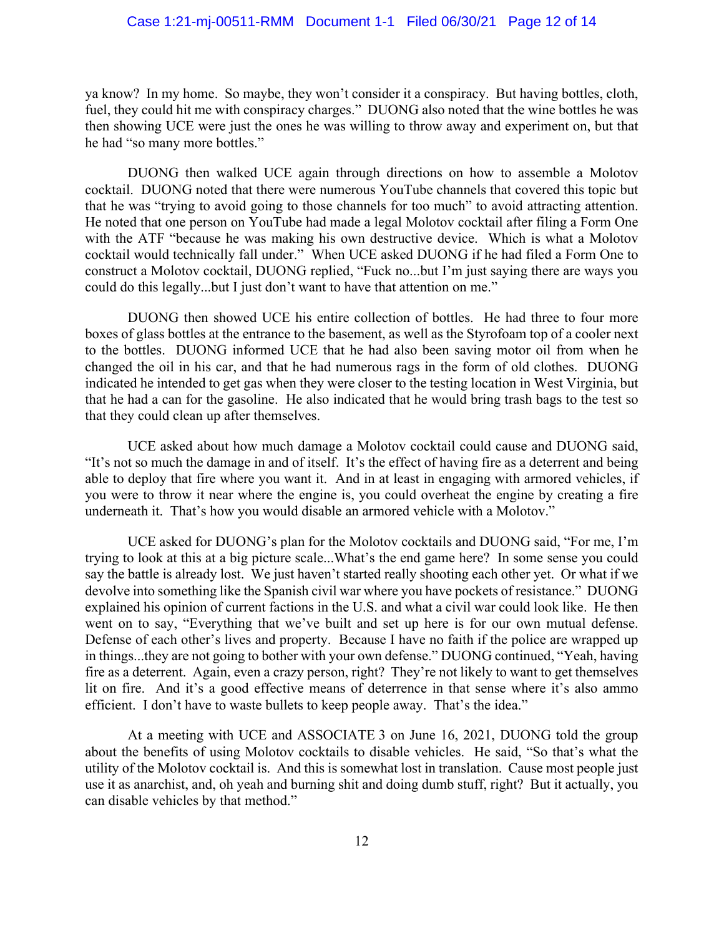ya know? In my home. So maybe, they won't consider it a conspiracy. But having bottles, cloth, fuel, they could hit me with conspiracy charges." DUONG also noted that the wine bottles he was then showing UCE were just the ones he was willing to throw away and experiment on, but that he had "so many more bottles."

DUONG then walked UCE again through directions on how to assemble a Molotov cocktail. DUONG noted that there were numerous YouTube channels that covered this topic but that he was "trying to avoid going to those channels for too much" to avoid attracting attention. He noted that one person on YouTube had made a legal Molotov cocktail after filing a Form One with the ATF "because he was making his own destructive device. Which is what a Molotov cocktail would technically fall under." When UCE asked DUONG if he had filed a Form One to construct a Molotov cocktail, DUONG replied, "Fuck no...but I'm just saying there are ways you could do this legally...but I just don't want to have that attention on me."

DUONG then showed UCE his entire collection of bottles. He had three to four more boxes of glass bottles at the entrance to the basement, as well as the Styrofoam top of a cooler next to the bottles. DUONG informed UCE that he had also been saving motor oil from when he changed the oil in his car, and that he had numerous rags in the form of old clothes. DUONG indicated he intended to get gas when they were closer to the testing location in West Virginia, but that he had a can for the gasoline. He also indicated that he would bring trash bags to the test so that they could clean up after themselves.

UCE asked about how much damage a Molotov cocktail could cause and DUONG said, "It's not so much the damage in and of itself. It's the effect of having fire as a deterrent and being able to deploy that fire where you want it. And in at least in engaging with armored vehicles, if you were to throw it near where the engine is, you could overheat the engine by creating a fire underneath it. That's how you would disable an armored vehicle with a Molotov."

UCE asked for DUONG's plan for the Molotov cocktails and DUONG said, "For me, I'm trying to look at this at a big picture scale...What's the end game here? In some sense you could say the battle is already lost. We just haven't started really shooting each other yet. Or what if we devolve into something like the Spanish civil war where you have pockets of resistance." DUONG explained his opinion of current factions in the U.S. and what a civil war could look like. He then went on to say, "Everything that we've built and set up here is for our own mutual defense. Defense of each other's lives and property. Because I have no faith if the police are wrapped up in things...they are not going to bother with your own defense." DUONG continued, "Yeah, having fire as a deterrent. Again, even a crazy person, right? They're not likely to want to get themselves lit on fire. And it's a good effective means of deterrence in that sense where it's also ammo efficient. I don't have to waste bullets to keep people away. That's the idea."

At a meeting with UCE and ASSOCIATE 3 on June 16, 2021, DUONG told the group about the benefits of using Molotov cocktails to disable vehicles. He said, "So that's what the utility of the Molotov cocktail is. And this is somewhat lost in translation. Cause most people just use it as anarchist, and, oh yeah and burning shit and doing dumb stuff, right? But it actually, you can disable vehicles by that method."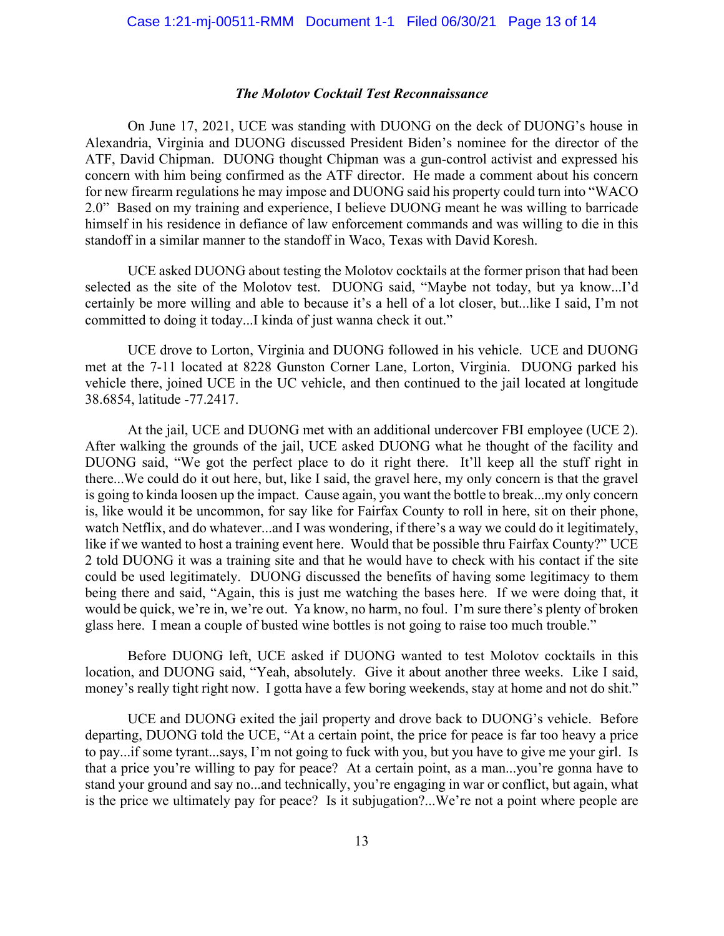#### *The Molotov Cocktail Test Reconnaissance*

On June 17, 2021, UCE was standing with DUONG on the deck of DUONG's house in Alexandria, Virginia and DUONG discussed President Biden's nominee for the director of the ATF, David Chipman. DUONG thought Chipman was a gun-control activist and expressed his concern with him being confirmed as the ATF director. He made a comment about his concern for new firearm regulations he may impose and DUONG said his property could turn into "WACO 2.0" Based on my training and experience, I believe DUONG meant he was willing to barricade himself in his residence in defiance of law enforcement commands and was willing to die in this standoff in a similar manner to the standoff in Waco, Texas with David Koresh.

UCE asked DUONG about testing the Molotov cocktails at the former prison that had been selected as the site of the Molotov test. DUONG said, "Maybe not today, but ya know...I'd certainly be more willing and able to because it's a hell of a lot closer, but...like I said, I'm not committed to doing it today...I kinda of just wanna check it out."

UCE drove to Lorton, Virginia and DUONG followed in his vehicle. UCE and DUONG met at the 7-11 located at 8228 Gunston Corner Lane, Lorton, Virginia. DUONG parked his vehicle there, joined UCE in the UC vehicle, and then continued to the jail located at longitude 38.6854, latitude -77.2417.

At the jail, UCE and DUONG met with an additional undercover FBI employee (UCE 2). After walking the grounds of the jail, UCE asked DUONG what he thought of the facility and DUONG said, "We got the perfect place to do it right there. It'll keep all the stuff right in there...We could do it out here, but, like I said, the gravel here, my only concern is that the gravel is going to kinda loosen up the impact. Cause again, you want the bottle to break...my only concern is, like would it be uncommon, for say like for Fairfax County to roll in here, sit on their phone, watch Netflix, and do whatever...and I was wondering, if there's a way we could do it legitimately, like if we wanted to host a training event here. Would that be possible thru Fairfax County?" UCE 2 told DUONG it was a training site and that he would have to check with his contact if the site could be used legitimately. DUONG discussed the benefits of having some legitimacy to them being there and said, "Again, this is just me watching the bases here. If we were doing that, it would be quick, we're in, we're out. Ya know, no harm, no foul. I'm sure there's plenty of broken glass here. I mean a couple of busted wine bottles is not going to raise too much trouble."

Before DUONG left, UCE asked if DUONG wanted to test Molotov cocktails in this location, and DUONG said, "Yeah, absolutely. Give it about another three weeks. Like I said, money's really tight right now. I gotta have a few boring weekends, stay at home and not do shit."

UCE and DUONG exited the jail property and drove back to DUONG's vehicle. Before departing, DUONG told the UCE, "At a certain point, the price for peace is far too heavy a price to pay...if some tyrant...says, I'm not going to fuck with you, but you have to give me your girl. Is that a price you're willing to pay for peace? At a certain point, as a man...you're gonna have to stand your ground and say no...and technically, you're engaging in war or conflict, but again, what is the price we ultimately pay for peace? Is it subjugation?...We're not a point where people are